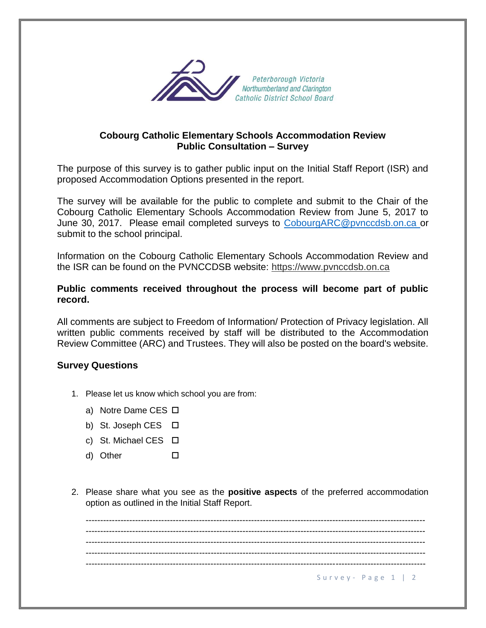

## **Cobourg Catholic Elementary Schools Accommodation Review Public Consultation – Survey**

The purpose of this survey is to gather public input on the Initial Staff Report (ISR) and proposed Accommodation Options presented in the report.

The survey will be available for the public to complete and submit to the Chair of the Cobourg Catholic Elementary Schools Accommodation Review from June 5, 2017 to June 30, 2017. Please email completed surveys to [CobourgARC@pvnccdsb.on.ca](mailto:CobourgARC@pvnccdsb.on.ca) or submit to the school principal.

Information on the Cobourg Catholic Elementary Schools Accommodation Review and the ISR can be found on the PVNCCDSB website: https://www.pvnccdsb.on.ca

## **Public comments received throughout the process will become part of public record.**

All comments are subject to Freedom of Information/ Protection of Privacy legislation. All written public comments received by staff will be distributed to the Accommodation Review Committee (ARC) and Trustees. They will also be posted on the board's website.

## **Survey Questions**

- 1. Please let us know which school you are from:
	- a) Notre Dame CES □
	- b) St. Joseph CES  $\Box$
	- c) St. Michael CES □
	- d) Other
- 2. Please share what you see as the **positive aspects** of the preferred accommodation option as outlined in the Initial Staff Report.

Survey - Page  $1 \mid 2$ --------------------------------------------------------------------------------------------------------------------- --------------------------------------------------------------------------------------------------------------------- --------------------------------------------------------------------------------------------------------------------- --------------------------------------------------------------------------------------------------------------------- ---------------------------------------------------------------------------------------------------------------------